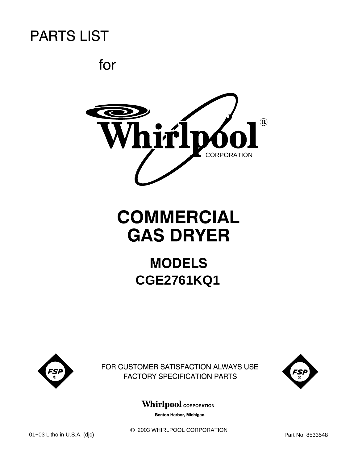for



# **COMMERCIAL GAS DRYER**

## **MODELS CGE2761KQ1**



FOR CUSTOMER SATISFACTION ALWAYS USE **FACTORY SPECIFICATION PARTS** 



### **Whirlpool** CORPORATION

Benton Harbor, Michigan.

 $@$  2003 WHIRLPOOL CORPORATION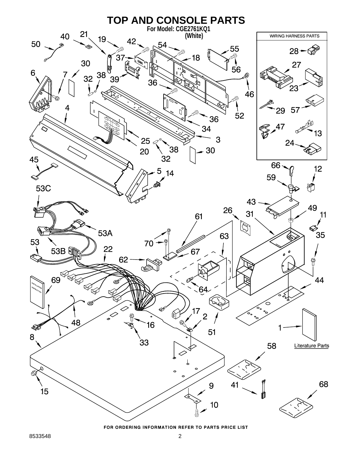

FOR ORDERING INFORMATION REFER TO PARTS PRICE LIST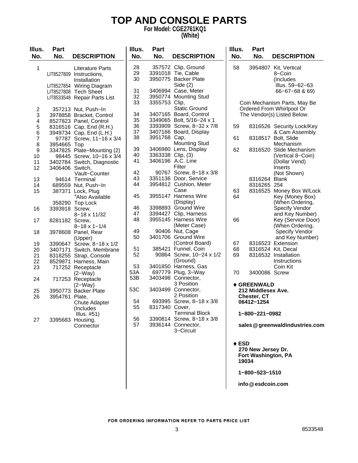### **TOP AND CONSOLE PARTS**

**For Model: CGE2761KQ1 (White)**

| Illus.<br>No.  | <b>Part</b><br>No. | <b>DESCRIPTION</b>                                                                                                                                        | Illus.<br>No.                    | Part<br>No.       | <b>DESCRIPTION</b>                                                                                                              | Illus.<br>No.   | Part<br>No.                               | <b>DESCRIPTION</b>                                                                                                       |
|----------------|--------------------|-----------------------------------------------------------------------------------------------------------------------------------------------------------|----------------------------------|-------------------|---------------------------------------------------------------------------------------------------------------------------------|-----------------|-------------------------------------------|--------------------------------------------------------------------------------------------------------------------------|
| 1              |                    | <b>Literature Parts</b><br>LIT8527809 Instructions,<br>Installation<br>LIT8527854 Wiring Diagram<br>LIT8527808 Tech Sheet<br>LIT8533548 Repair Parts List | 28<br>29<br>30<br>31<br>32<br>33 | 3355753 Clip,     | 357572 Clip, Ground<br>3391018 Tie, Cable<br>3950775 Backer Plate<br>Side $(2)$<br>3406994 Case, Meter<br>3950774 Mounting Stud | 58              |                                           | 3954807 Kit, Vertical<br>8-Coin<br>(Includes)<br>Illus. 59-62-63<br>$66 - 67 - 68$ & 69)<br>Coin Mechanism Parts, May Be |
| $\overline{c}$ |                    | 357213 Nut, Push-In                                                                                                                                       |                                  |                   | <b>Static Ground</b>                                                                                                            |                 |                                           | Ordered From Whirlpool Or                                                                                                |
| 3              |                    | 3978858 Bracket, Control                                                                                                                                  | 34<br>35                         |                   | 3407165 Board, Control<br>3349065 Bolt, 5/16-24 x 1                                                                             |                 |                                           | The Vendor(s) Listed Below.                                                                                              |
| 4              |                    | 8527823 Panel, Control                                                                                                                                    | 36                               |                   | 3393909 Screw, 8-32 x 7/8                                                                                                       | 59              |                                           | 8316526 Security Lock/Key                                                                                                |
| 5<br>6         |                    | 8316516 Cap, End (R.H.)<br>3949734 Cap, End (L.H.)                                                                                                        | 37                               |                   | 3407166 Board, Display                                                                                                          |                 |                                           | & Cam Assembly                                                                                                           |
| 7              |                    | 97787 Screw, 11-16 x 3/4                                                                                                                                  | 38                               | 3951768 Cap,      |                                                                                                                                 | 61              |                                           | 8318517 Bolt, Slide                                                                                                      |
| 8              | 3954665 Top        |                                                                                                                                                           |                                  |                   | <b>Mounting Stud</b>                                                                                                            |                 |                                           | Mechanism                                                                                                                |
| 9              |                    | 3347825 Plate-Mounting (2)                                                                                                                                | 39                               |                   | 3406980 Lens, Display                                                                                                           | 62              |                                           | 8316520 Slide Mechanism                                                                                                  |
| 10             |                    | 98445 Screw, 10-16 x 3/4                                                                                                                                  | 40                               | 3363338 Clip, (3) |                                                                                                                                 |                 |                                           | (Vertical 8-Coin)                                                                                                        |
| 11             |                    | 3402784 Switch, Diagnostic                                                                                                                                | 41                               |                   | 3406196 A.C. Line                                                                                                               |                 |                                           | (Dollar Vend)                                                                                                            |
| 12             | 3406406 Switch,    |                                                                                                                                                           |                                  |                   | Filter                                                                                                                          |                 |                                           | Inserts                                                                                                                  |
|                |                    | Vault-Counter                                                                                                                                             | 42                               |                   | 90767 Screw, 8-18 x 3/8                                                                                                         |                 |                                           | (Not Shown)                                                                                                              |
| 13             |                    | 94614 Terminal                                                                                                                                            | 43                               |                   | 3351136 Door, Service                                                                                                           |                 | 8316264 Blank                             |                                                                                                                          |
| 14             |                    | 689559 Nut, Push-In                                                                                                                                       | 44                               |                   | 3954812 Cushion, Meter                                                                                                          |                 | 8316265 25¢                               |                                                                                                                          |
| 15             |                    | 387371 Lock, Plug                                                                                                                                         | 45                               |                   | Case<br>3955147 Harness Wire                                                                                                    | 63<br>64        |                                           | 8316525 Money Box W/Lock                                                                                                 |
|                |                    | *Also Available                                                                                                                                           |                                  |                   | (Display)                                                                                                                       |                 |                                           | Key (Money Box)<br>(When Ordering,                                                                                       |
| 16             | 3393918 Screw,     | 358290 Top Lock                                                                                                                                           | 46                               |                   | 3398893 Ground Wire                                                                                                             |                 |                                           | Specify Vendor                                                                                                           |
|                |                    | 8-18 x 11/32                                                                                                                                              | 47                               |                   | 3394427 Clip, Harness                                                                                                           |                 |                                           | and Key Number)                                                                                                          |
| 17             | 8281182 Screw,     |                                                                                                                                                           | 48                               |                   | 3955145 Harness Wire                                                                                                            | 66              |                                           | Key (Service Door)                                                                                                       |
|                |                    | $8 - 18 \times 1 - 1/4$                                                                                                                                   |                                  |                   | (Meter Case)                                                                                                                    |                 |                                           | (When Ordering,                                                                                                          |
| 18             |                    | 3978608 Panel, Rear                                                                                                                                       | 49                               |                   | 90406 Nut, Cage                                                                                                                 |                 |                                           | <b>Specify Vendor</b>                                                                                                    |
|                |                    | (Upper)                                                                                                                                                   | 50                               |                   | 3401706 Ground Wire                                                                                                             |                 |                                           | and Key Number)                                                                                                          |
| 19             |                    | 3390647 Screw, 8-18 x 1/2                                                                                                                                 |                                  |                   | (Control Board)                                                                                                                 | 67              |                                           | 8316523 Extension                                                                                                        |
| 20             |                    | 3407171 Switch, Membrane                                                                                                                                  | 51                               |                   | 385421 Funnel, Coin                                                                                                             | 68              |                                           | 8316524 Kit, Decal                                                                                                       |
| 21             |                    | 8318255 Strap, Console                                                                                                                                    | 52                               |                   | 90864 Screw, 10-24 x 1/2                                                                                                        | 69              |                                           | 8316532 Installation                                                                                                     |
| 22             |                    | 8529871 Harness, Main                                                                                                                                     |                                  |                   | (Ground)                                                                                                                        |                 |                                           | Instructions                                                                                                             |
| 23             |                    | 717252 Receptacle                                                                                                                                         | 53<br>53A                        |                   | 3401850 Harness, Gas<br>697779 Plug, 3-Way                                                                                      |                 |                                           | Coin Kit                                                                                                                 |
|                |                    | $(2-Way)$                                                                                                                                                 | 53B                              |                   | 3403498 Connector,                                                                                                              | 70              | 3400086 Screw                             |                                                                                                                          |
| 24             |                    | 717253 Receptacle<br>$(2-Way)$                                                                                                                            |                                  |                   | 3 Position                                                                                                                      |                 | ◆ GREENWALD                               |                                                                                                                          |
| 25             |                    | 3950773 Backer Plate                                                                                                                                      | 53C                              |                   | 3403499 Connector,                                                                                                              |                 | 212 Middlesex Ave.                        |                                                                                                                          |
| 26             | 3954761 Plate,     |                                                                                                                                                           |                                  |                   | 2 Position                                                                                                                      |                 | Chester, CT                               |                                                                                                                          |
|                |                    | <b>Chute Adapter</b>                                                                                                                                      | 54                               |                   | 693995 Screw, 8-18 x 3/8                                                                                                        |                 | 06412-1254                                |                                                                                                                          |
|                |                    | (Includes                                                                                                                                                 | 55                               | 8317340 Cover,    |                                                                                                                                 |                 |                                           |                                                                                                                          |
|                |                    | Illus. $#51)$                                                                                                                                             |                                  |                   | <b>Terminal Block</b>                                                                                                           |                 | 1-800-221-0982                            |                                                                                                                          |
| 27             |                    | 3395683 Housing,                                                                                                                                          | 56                               |                   | 3390814 Screw, 8-18 x 3/8                                                                                                       |                 |                                           |                                                                                                                          |
|                |                    | Connector                                                                                                                                                 | 57                               |                   | 3936144 Connector,<br>3-Circuit                                                                                                 |                 |                                           | sales @greenwaldindustries.com                                                                                           |
|                |                    |                                                                                                                                                           |                                  |                   |                                                                                                                                 | $\triangle$ ESD | 270 New Jersey Dr.<br>Fort Washington, PA |                                                                                                                          |
|                |                    |                                                                                                                                                           |                                  |                   |                                                                                                                                 | 19034           |                                           |                                                                                                                          |

**1−800−523−1510**

**info esdcoin.com @**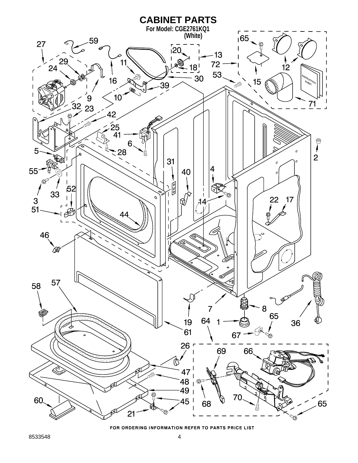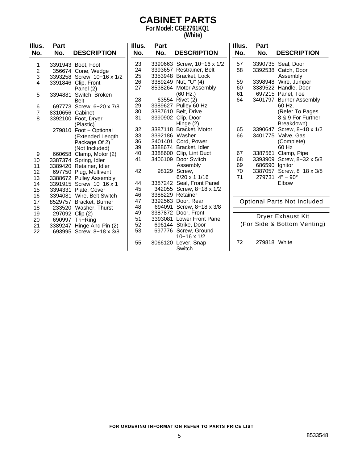### **CABINET PARTS**

**For Model: CGE2761KQ1 (White)**

| Illus.                  | <b>Part</b>     |                            | Illus. | Part           |                                              | Illus. | <b>Part</b>    |                                    |
|-------------------------|-----------------|----------------------------|--------|----------------|----------------------------------------------|--------|----------------|------------------------------------|
| No.                     | No.             | <b>DESCRIPTION</b>         | No.    | No.            | <b>DESCRIPTION</b>                           | No.    | No.            | <b>DESCRIPTION</b>                 |
| 1                       |                 | 3391943 Boot, Foot         | 23     |                | 3390663 Screw, 10-16 x 1/2                   | 57     |                | 3390735 Seal, Door                 |
| $\overline{\mathbf{c}}$ |                 | 356674 Cone, Wedge         | 24     |                | 3393657 Restrainer, Belt                     | 58     |                | 3392538 Catch, Door                |
| 3                       |                 | 3393258 Screw, 10-16 x 1/2 | 25     |                | 3353948 Bracket, Lock                        |        |                | Assembly                           |
| 4                       |                 | 3391846 Clip, Front        | 26     |                | 3389249 Nut, "U" (4)                         | 59     |                | 3398948 Wire, Jumper               |
|                         |                 | Panel (2)                  | 27     |                | 8538264 Motor Assembly                       | 60     |                | 3389522 Handle, Door               |
| 5                       | 3394881         | Switch, Broken             |        |                | (60 Hz.)                                     | 61     |                | 697215 Panel, Toe                  |
|                         |                 | <b>Belt</b>                | 28     |                | 63554 Rivet (2)                              | 64     |                | 3401797 Burner Assembly            |
| 6                       |                 | 697773 Screw, 6-20 x 7/8   | 29     |                | 3389627 Pulley 60 Hz                         |        |                | 60 Hz.                             |
| $\overline{7}$          | 8310656 Cabinet |                            | 30     |                | 3387610 Belt, Drive                          |        |                | (Refer To Pages                    |
| 8                       |                 | 3392100 Foot, Dryer        | 31     |                | 3390902 Clip, Door                           |        |                | 8 & 9 For Further                  |
|                         |                 | (Plastic)                  |        |                | Hinge (2)                                    |        |                | Breakdown)                         |
|                         |                 | 279810 Foot - Optional     | 32     |                | 3387118 Bracket, Motor                       | 65     | 3390647        | Screw, 8-18 x 1/2                  |
|                         |                 | (Extended Length           | 33     | 3392186 Washer |                                              | 66     |                | 3401775 Valve, Gas                 |
|                         |                 | Package Of 2)              | 36     | 3401401        | Cord, Power                                  |        |                | (Complete)                         |
|                         |                 | (Not Included)             | 39     |                | 3388674 Bracket, Idler                       |        |                | 60 Hz                              |
| 9                       |                 | 660658 Clamp, Motor (2)    | 40     |                | 3388600 Clip, Lint Duct                      | 67     | 3387561        | Clamp, Pipe                        |
| 10                      |                 | 3387374 Spring, Idler      | 41     |                | 3406109 Door Switch                          | 68     |                | 3393909 Screw, 8-32 x 5/8          |
| 11                      |                 | 3389420 Retainer, Idler    |        |                | Assembly                                     | 69     | 686590 Ignitor |                                    |
| 12                      |                 | 697750 Plug, Multivent     | 42     | 98129          | Screw,                                       | 70     |                | 3387057 Screw, 8-18 x 3/8          |
| 13                      |                 | 3388672 Pulley Assembly    |        |                | $6/20 \times 11/16$                          | 71     |                | $279731$ 4" - 90 $^{\circ}$        |
| 14                      |                 | 3391915 Screw, 10-16 x 1   | 44     |                | 3387242 Seal, Front Panel                    |        |                | Elbow                              |
| 15                      |                 | 3394331 Plate, Cover       | 45     |                | 342055 Screw, 8-18 x 1/2                     |        |                |                                    |
| 16                      |                 | 3394081 Wire, Belt Switch  | 46     |                | 3388229 Retainer                             |        |                |                                    |
| 17                      |                 | 8529757 Bracket, Burner    | 47     |                | 3392563 Door, Rear                           |        |                | <b>Optional Parts Not Included</b> |
| 18                      |                 | 233520 Washer, Thurst      | 48     |                | 694091 Screw, 8-18 x 3/8                     |        |                |                                    |
| 19                      |                 | 297092 Clip (2)            | 49     |                | 3387872 Door, Front                          |        |                | Dryer Exhaust Kit                  |
| 20                      |                 | 690997 Tri-Ring            | 51     |                | 3393081 Lower Front Panel                    |        |                | (For Side & Bottom Venting)        |
| 21                      |                 | 3389247 Hinge And Pin (2)  | 52     |                | 696144 Strike, Door                          |        |                |                                    |
| 22                      |                 | 693995 Screw, 8-18 x 3/8   | 53     |                | 697776 Screw, Ground<br>$10 - 16 \times 1/2$ |        |                |                                    |
|                         |                 |                            | 55     |                | 8066120 Lever, Snap                          | 72     | 279818 White   |                                    |
|                         |                 |                            |        |                |                                              |        |                |                                    |
|                         |                 |                            |        |                | Switch                                       |        |                |                                    |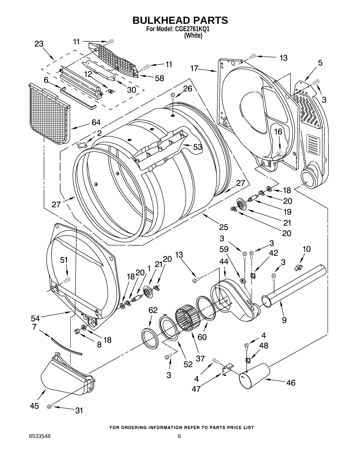![](_page_5_Figure_0.jpeg)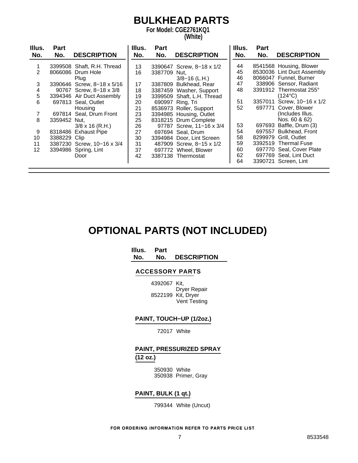### **BULKHEAD PARTS**

**For Model: CGE2761KQ1 (White)**

| Illus.<br>No. | Part<br>No.  | <b>DESCRIPTION</b>         | Illus.<br>No. | Part<br>No. | <b>DESCRIPTION</b>         | Illus.<br>No. | Part<br>No. | <b>DESCRIPTION</b>         |
|---------------|--------------|----------------------------|---------------|-------------|----------------------------|---------------|-------------|----------------------------|
|               |              |                            |               |             |                            |               |             |                            |
|               |              | 3399508 Shaft, R.H. Thread | 13            |             | 3390647 Screw, 8-18 x 1/2  | 44            |             | 8541568 Housing, Blower    |
| 2             |              | 8066086 Drum Hole          | 16            | 3387709     | Nut.                       | 45            |             | 8530036 Lint Duct Assembly |
|               |              | Plug                       |               |             | $3/8 - 16$ (L.H.)          | 46            |             | 8066047 Funnel, Burner     |
| 3             |              | 3390646 Screw, 8-18 x 5/16 | 17            | 3387809     | Bulkhead, Rear             | 47            |             | 338906 Sensor, Radiant     |
| 4             |              | 90767 Screw, 8-18 x 3/8    | 18            |             | 3387459 Washer, Support    | 48            |             | 3391912 Thermostat 255°    |
| 5             |              | 3394346 Air Duct Assembly  | 19            |             | 3399509 Shaft, L.H. Thread |               |             | $(124^{\circ}C)$           |
| 6             |              | 697813 Seal, Outlet        | 20            |             | 690997 Ring, Tri           | 51            |             | 3357011 Screw, 10-16 x 1/2 |
|               |              | Housing                    | 21            |             | 8536973 Roller, Support    | 52            |             | 697771 Cover, Blower       |
| 7             |              | 697814 Seal, Drum Front    | 23            |             | 3394985 Housing, Outlet    |               |             | (Includes Illus.           |
| 8             | 3359452 Nut, |                            | 25            |             | 8318215 Drum Complete      |               |             | Nos. 60 & 62)              |
|               |              | $3/8 \times 16$ (R.H.)     | 26            |             | 97787 Screw, 11-16 x 3/4   | 53            |             | 697693 Baffle, Drum (3)    |
| 9             |              | 8318486 Exhaust Pipe       | 27            |             | 697694 Seal, Drum          | 54            |             | 697557 Bulkhead, Front     |
| 10            | 3388229 Clip |                            | 30            |             | 3394984 Door, Lint Screen  | 58            | 8299979     | Grill, Outlet              |
| 11            |              | 3387230 Screw, 10-16 x 3/4 | 31            |             | 487909 Screw, 8-15 x 1/2   | 59            |             | 3392519 Thermal Fuse       |
| 12            |              | 3394986 Spring, Lint       | 37            |             | 697772 Wheel, Blower       | 60            |             | 697770 Seal, Cover Plate   |
|               |              | Door                       | 42            |             | 3387138 Thermostat         | 62            |             | 697769 Seal, Lint Duct     |
|               |              |                            |               |             |                            | 64            |             | 3390721 Screen, Lint       |

### **OPTIONAL PARTS (NOT INCLUDED)**

**Illus. Part**

**No. No. DESCRIPTION**

#### **ACCESSORY PARTS**

4392067 Kit, Dryer Repair 8522199 Kit, Dryer Vent Testing

#### **PAINT, TOUCH−UP (1/2oz.)**

72017 White

#### **PAINT, PRESSURIZED SPRAY (12 oz.)**

350930 White 350938 Primer, Gray

#### **PAINT, BULK (1 qt.)**

799344 White (Uncut)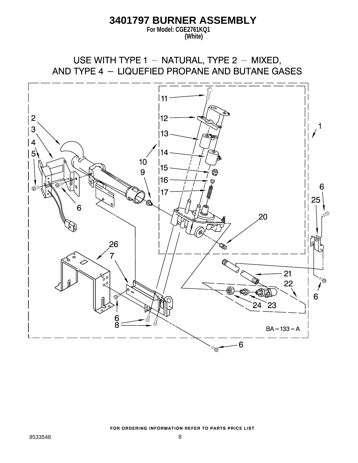### **3401797 BURNER ASSEMBLY**

**For Model: CGE2761KQ1 (White)**

USE WITH TYPE 1 - NATURAL, TYPE 2 - MIXED, AND TYPE 4 - LIQUEFIED PROPANE AND BUTANE GASES

![](_page_7_Figure_3.jpeg)